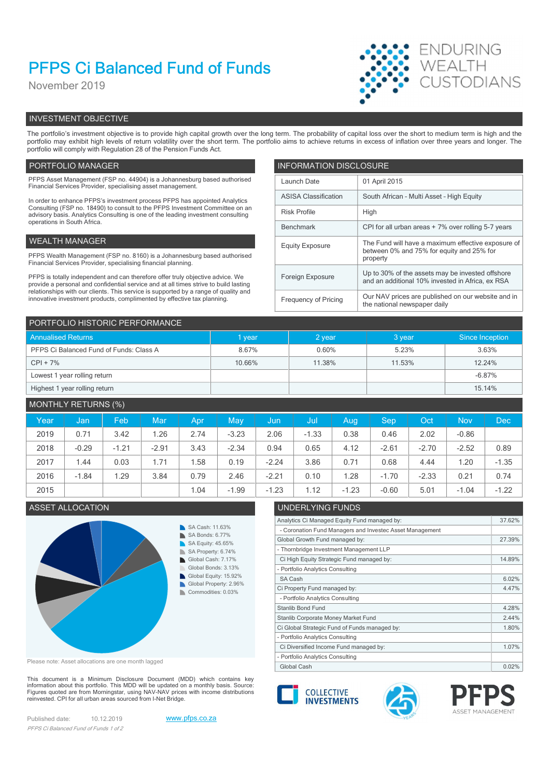# PFPS Ci Balanced Fund of Funds

November 2019



# INVESTMENT OBJECTIVE

The portfolio's investment objective is to provide high capital growth over the long term. The probability of capital loss over the short to medium term is high and the portfolio may exhibit high levels of return volatility over the short term. The portfolio aims to achieve returns in excess of inflation over three years and longer. The portfolio will comply with Regulation 28 of the Pension Funds Act.

# PORTFOLIO MANAGER **INFORMATION DISCLOSURE**

| PFPS Asset Management (FSP no. 44904) is a Johannesburg based authorised<br>Financial Services Provider, specialising asset management.                                | Launch Date                 | 01 April 2015                                                                                        |  |
|------------------------------------------------------------------------------------------------------------------------------------------------------------------------|-----------------------------|------------------------------------------------------------------------------------------------------|--|
| In order to enhance PFPS's investment process PFPS has appointed Analytics                                                                                             | <b>ASISA Classification</b> | South African - Multi Asset - High Equity                                                            |  |
| Consulting (FSP no. 18490) to consult to the PFPS Investment Committee on an<br>advisory basis. Analytics Consulting is one of the leading investment consulting       | <b>Risk Profile</b>         | High                                                                                                 |  |
| operations in South Africa.                                                                                                                                            | Benchmark                   | CPI for all urban areas + 7% over rolling 5-7 years                                                  |  |
| WEALTH MANAGER                                                                                                                                                         | <b>Equity Exposure</b>      | The Fund will have a maximum effective exposure of                                                   |  |
| PFPS Wealth Management (FSP no. 8160) is a Johannesburg based authorised<br>Financial Services Provider, specialising financial planning.                              |                             | between 0% and 75% for equity and 25% for<br>property                                                |  |
| PFPS is totally independent and can therefore offer truly objective advice. We<br>provide a personal and confidential service and at all times strive to build lasting | Foreign Exposure            | Up to 30% of the assets may be invested offshore<br>and an additional 10% invested in Africa, ex RSA |  |
| relationships with our clients. This service is supported by a range of quality and<br>innovative investment products, complimented by effective tax planning.         | Frequency of Pricing        | Our NAV prices are published on our website and in<br>the national newspaper daily                   |  |

| PORTFOLIO HISTORIC PERFORMANCE          |        |          |        |                 |  |  |  |
|-----------------------------------------|--------|----------|--------|-----------------|--|--|--|
| <b>Annualised Returns</b>               | I year | $2$ year | 3 year | Since Inception |  |  |  |
| PFPS Ci Balanced Fund of Funds: Class A | 8.67%  | 0.60%    | 5.23%  | 3.63%           |  |  |  |
| $CPI + 7%$                              | 10.66% | 11.38%   | 11.53% | 12.24%          |  |  |  |
| Lowest 1 year rolling return            |        |          |        | $-6.87%$        |  |  |  |
| Highest 1 year rolling return           |        |          |        | 15.14%          |  |  |  |

# MONTHLY RETURNS (%)

| Year | Jan,    | Feb     | Mar     | Apr  | May     | /Jun    | -Jul    | Aug     | <b>Sep</b> | Oct     | <b>Nov</b> | <b>Dec</b> |
|------|---------|---------|---------|------|---------|---------|---------|---------|------------|---------|------------|------------|
| 2019 | 0.71    | 3.42    | 1.26    | 2.74 | $-3.23$ | 2.06    | $-1.33$ | 0.38    | 0.46       | 2.02    | $-0.86$    |            |
| 2018 | $-0.29$ | $-1.21$ | $-2.91$ | 3.43 | $-2.34$ | 0.94    | 0.65    | 4.12    | $-2.61$    | $-2.70$ | $-2.52$    | 0.89       |
| 2017 | 1.44    | 0.03    | 1.71    | .58  | 0.19    | $-2.24$ | 3.86    | 0.71    | 0.68       | 4.44    | 1.20       | $-1.35$    |
| 2016 | $-1.84$ | .29     | 3.84    | 0.79 | 2.46    | $-2.21$ | 0.10    | 1.28    | $-1.70$    | $-2.33$ | 0.21       | 0.74       |
| 2015 |         |         |         | 1.04 | $-1.99$ | $-1.23$ | 1.12    | $-1.23$ | $-0.60$    | 5.01    | $-1.04$    | $-1.22$    |

# ASSET ALLOCATION UNDERLYING FUNDS



Please note: Asset allocations are one month lagged

This document is a Minimum Disclosure Document (MDD) which contains key<br>information about this portfolio. This MDD will be updated on a monthly basis. Source:<br>Figures quoted are from Morningstar, using NAV-NAV prices with reinvested. CPI for all urban areas sourced from I-Net Bridge.

Published date: 10.12.2019 www.pfps.co.za PFPS Ci Balanced Fund of Funds 1 of 2





Analytics Ci Managed Equity Fund managed by: 37.62%

Global Growth Fund managed by: 27.39%

Ci High Equity Strategic Fund managed by: 14.89%

Ci Property Fund managed by: 4.47%

Ci Diversified Income Fund managed by: 1.07%

Ci Global Strategic Fund of Funds managed by: 1.80% Stanlib Corporate Money Market Fund 2.44%

- Coronation Fund Managers and Investec Asset Management

- Thornbridge Investment Management LLP

- Portfolio Analytics Consulting

- Portfolio Analytics Consulting

- Portfolio Analytics Consulting

- Portfolio Analytics Consulting



 $S$ A Cash 6.02%

Stanlib Bond Fund 4.28%

Global Cash 0.02% | 2002 | 2002 | 2002 | 2002 | 2002 | 2002 | 2002 | 2002 | 2002 | 2002 | 2002 | 2002 | 2002 |